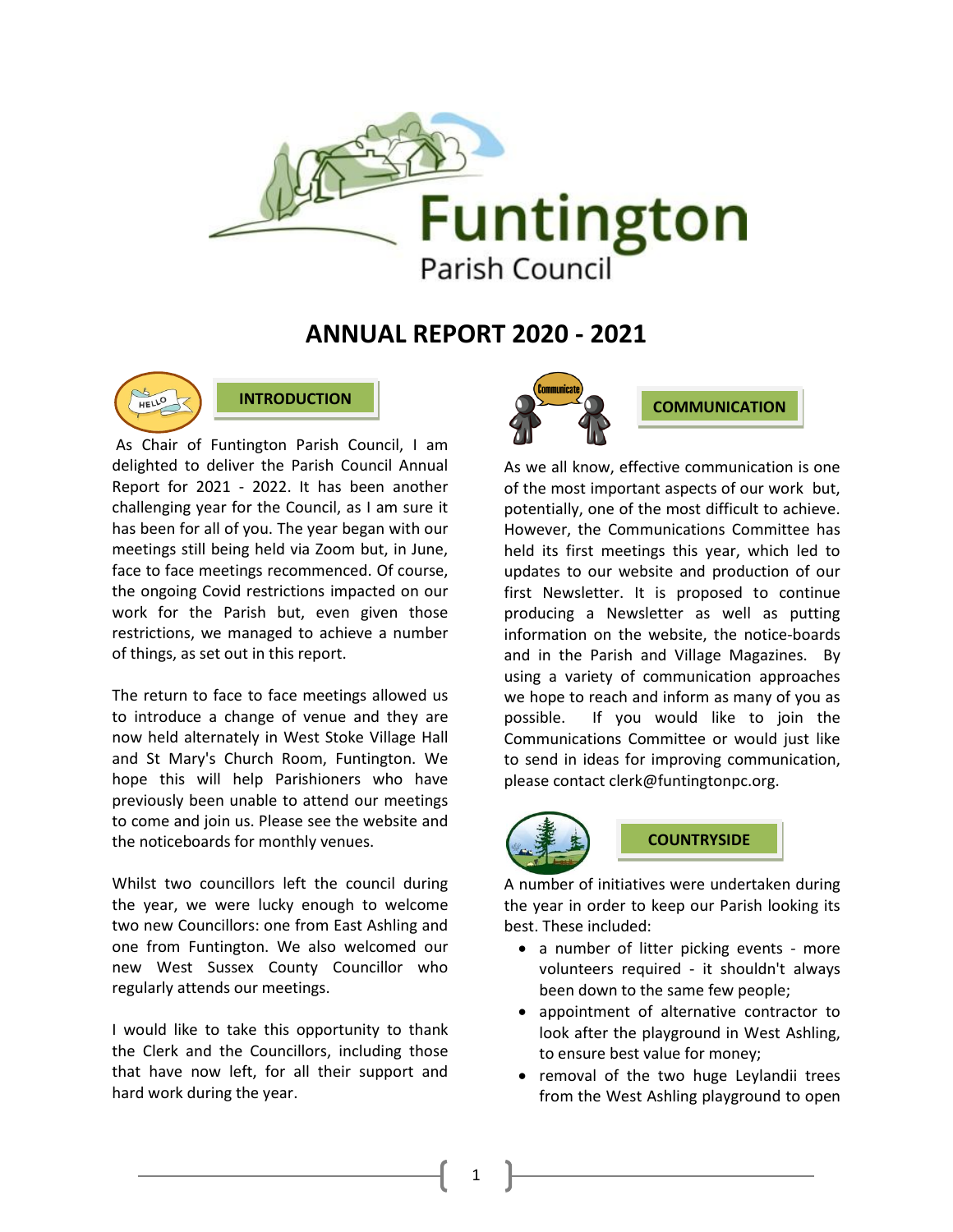

## **ANNUAL REPORT 2020 - 2021**



**INTRODUCTION**

As Chair of Funtington Parish Council, I am delighted to deliver the Parish Council Annual Report for 2021 - 2022. It has been another challenging year for the Council, as I am sure it has been for all of you. The year began with our meetings still being held via Zoom but, in June, face to face meetings recommenced. Of course, the ongoing Covid restrictions impacted on our work for the Parish but, even given those restrictions, we managed to achieve a number of things, as set out in this report.

The return to face to face meetings allowed us to introduce a change of venue and they are now held alternately in West Stoke Village Hall and St Mary's Church Room, Funtington. We hope this will help Parishioners who have previously been unable to attend our meetings to come and join us. Please see the website and the noticeboards for monthly venues.

Whilst two councillors left the council during the year, we were lucky enough to welcome two new Councillors: one from East Ashling and one from Funtington. We also welcomed our new West Sussex County Councillor who regularly attends our meetings.

I would like to take this opportunity to thank the Clerk and the Councillors, including those that have now left, for all their support and hard work during the year.



As we all know, effective communication is one of the most important aspects of our work but, potentially, one of the most difficult to achieve. However, the Communications Committee has held its first meetings this year, which led to updates to our website and production of our first Newsletter. It is proposed to continue producing a Newsletter as well as putting information on the website, the notice-boards and in the Parish and Village Magazines. By using a variety of communication approaches we hope to reach and inform as many of you as possible. If you would like to join the Communications Committee or would just like to send in ideas for improving communication, please contact clerk@funtingtonpc.org.



1

## **COUNTRYSIDE**

A number of initiatives were undertaken during the year in order to keep our Parish looking its best. These included:

- a number of litter picking events more volunteers required - it shouldn't always been down to the same few people;
- appointment of alternative contractor to look after the playground in West Ashling, to ensure best value for money;
- removal of the two huge Leylandii trees from the West Ashling playground to open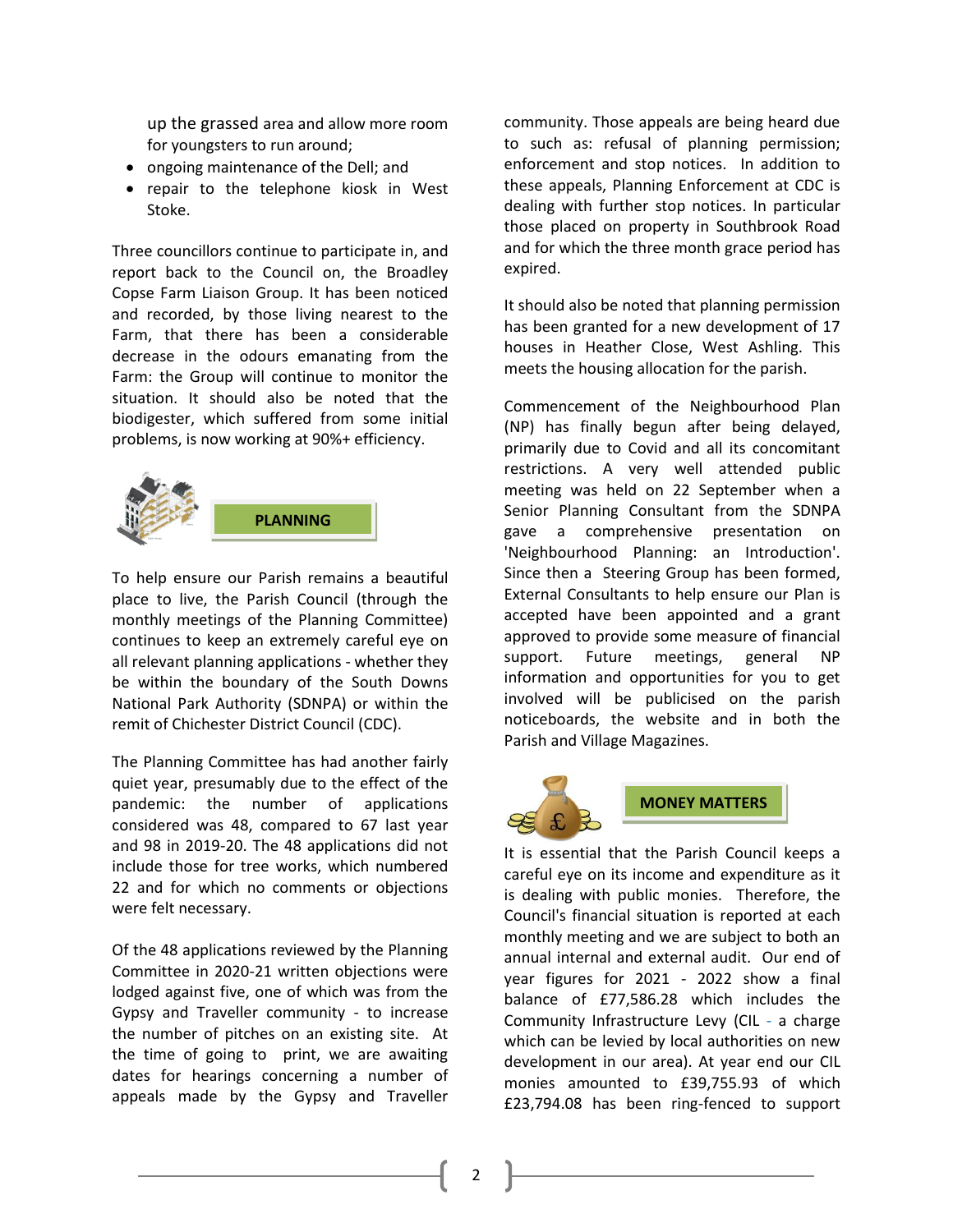up the grassed area and allow more room for youngsters to run around;

- ongoing maintenance of the Dell; and
- repair to the telephone kiosk in West Stoke.

Three councillors continue to participate in, and report back to the Council on, the Broadley Copse Farm Liaison Group. It has been noticed and recorded, by those living nearest to the Farm, that there has been a considerable decrease in the odours emanating from the Farm: the Group will continue to monitor the situation. It should also be noted that the biodigester, which suffered from some initial problems, is now working at 90%+ efficiency.



To help ensure our Parish remains a beautiful place to live, the Parish Council (through the monthly meetings of the Planning Committee) continues to keep an extremely careful eye on all relevant planning applications - whether they be within the boundary of the South Downs National Park Authority (SDNPA) or within the remit of Chichester District Council (CDC).

The Planning Committee has had another fairly quiet year, presumably due to the effect of the pandemic: the number of applications considered was 48, compared to 67 last year and 98 in 2019-20. The 48 applications did not include those for tree works, which numbered 22 and for which no comments or objections were felt necessary.

Of the 48 applications reviewed by the Planning Committee in 2020-21 written objections were lodged against five, one of which was from the Gypsy and Traveller community - to increase the number of pitches on an existing site. At the time of going to print, we are awaiting dates for hearings concerning a number of appeals made by the Gypsy and Traveller community. Those appeals are being heard due to such as: refusal of planning permission; enforcement and stop notices. In addition to these appeals, Planning Enforcement at CDC is dealing with further stop notices. In particular those placed on property in Southbrook Road and for which the three month grace period has expired.

It should also be noted that planning permission has been granted for a new development of 17 houses in Heather Close, West Ashling. This meets the housing allocation for the parish.

Commencement of the Neighbourhood Plan (NP) has finally begun after being delayed, primarily due to Covid and all its concomitant restrictions. A very well attended public meeting was held on 22 September when a Senior Planning Consultant from the SDNPA gave a comprehensive presentation on 'Neighbourhood Planning: an Introduction'. Since then a Steering Group has been formed, External Consultants to help ensure our Plan is accepted have been appointed and a grant approved to provide some measure of financial support. Future meetings, general NP information and opportunities for you to get involved will be publicised on the parish noticeboards, the website and in both the Parish and Village Magazines.



It is essential that the Parish Council keeps a careful eye on its income and expenditure as it is dealing with public monies. Therefore, the Council's financial situation is reported at each monthly meeting and we are subject to both an annual internal and external audit. Our end of year figures for 2021 - 2022 show a final balance of £77,586.28 which includes the Community Infrastructure Levy (CIL - a charge which can be levied by local authorities on new development in our area). At year end our CIL monies amounted to £39,755.93 of which £23,794.08 has been ring-fenced to support